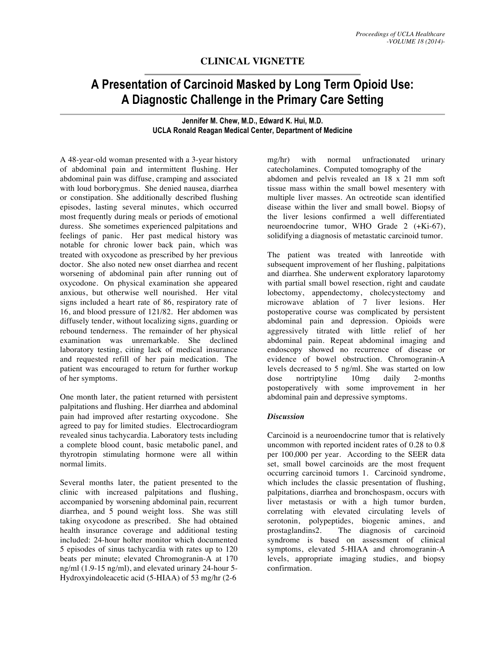## **CLINICAL VIGNETTE**

## **A Presentation of Carcinoid Masked by Long Term Opioid Use: A Diagnostic Challenge in the Primary Care Setting**

**Jennifer M. Chew, M.D., Edward K. Hui, M.D. UCLA Ronald Reagan Medical Center, Department of Medicine**

A 48-year-old woman presented with a 3-year history of abdominal pain and intermittent flushing. Her abdominal pain was diffuse, cramping and associated with loud borborygmus. She denied nausea, diarrhea or constipation. She additionally described flushing episodes, lasting several minutes, which occurred most frequently during meals or periods of emotional duress. She sometimes experienced palpitations and feelings of panic. Her past medical history was notable for chronic lower back pain, which was treated with oxycodone as prescribed by her previous doctor. She also noted new onset diarrhea and recent worsening of abdominal pain after running out of oxycodone. On physical examination she appeared anxious, but otherwise well nourished. Her vital signs included a heart rate of 86, respiratory rate of 16, and blood pressure of 121/82. Her abdomen was diffusely tender, without localizing signs, guarding or rebound tenderness. The remainder of her physical examination was unremarkable. She declined laboratory testing, citing lack of medical insurance and requested refill of her pain medication. The patient was encouraged to return for further workup of her symptoms.

One month later, the patient returned with persistent palpitations and flushing. Her diarrhea and abdominal pain had improved after restarting oxycodone. She agreed to pay for limited studies. Electrocardiogram revealed sinus tachycardia. Laboratory tests including a complete blood count, basic metabolic panel, and thyrotropin stimulating hormone were all within normal limits.

Several months later, the patient presented to the clinic with increased palpitations and flushing, accompanied by worsening abdominal pain, recurrent diarrhea, and 5 pound weight loss. She was still taking oxycodone as prescribed. She had obtained health insurance coverage and additional testing included: 24-hour holter monitor which documented 5 episodes of sinus tachycardia with rates up to 120 beats per minute; elevated Chromogranin-A at 170 ng/ml (1.9-15 ng/ml), and elevated urinary 24-hour 5- Hydroxyindoleacetic acid (5-HIAA) of 53 mg/hr (2-6

mg/hr) with normal unfractionated urinary catecholamines. Computed tomography of the abdomen and pelvis revealed an 18 x 21 mm soft tissue mass within the small bowel mesentery with multiple liver masses. An octreotide scan identified disease within the liver and small bowel. Biopsy of the liver lesions confirmed a well differentiated neuroendocrine tumor, WHO Grade 2 (+Ki-67), solidifying a diagnosis of metastatic carcinoid tumor.

The patient was treated with lanreotide with subsequent improvement of her flushing, palpitations and diarrhea. She underwent exploratory laparotomy with partial small bowel resection, right and caudate lobectomy, appendectomy, cholecystectomy and microwave ablation of 7 liver lesions. Her postoperative course was complicated by persistent abdominal pain and depression. Opioids were aggressively titrated with little relief of her abdominal pain. Repeat abdominal imaging and endoscopy showed no recurrence of disease or evidence of bowel obstruction. Chromogranin-A levels decreased to 5 ng/ml. She was started on low dose nortriptyline 10mg daily 2-months postoperatively with some improvement in her abdominal pain and depressive symptoms.

## *Discussion*

Carcinoid is a neuroendocrine tumor that is relatively uncommon with reported incident rates of 0.28 to 0.8 per 100,000 per year. According to the SEER data set, small bowel carcinoids are the most frequent occurring carcinoid tumors 1. Carcinoid syndrome, which includes the classic presentation of flushing, palpitations, diarrhea and bronchospasm, occurs with liver metastasis or with a high tumor burden, correlating with elevated circulating levels of serotonin, polypeptides, biogenic amines, and prostaglandins2. The diagnosis of carcinoid syndrome is based on assessment of clinical symptoms, elevated 5-HIAA and chromogranin-A levels, appropriate imaging studies, and biopsy confirmation.